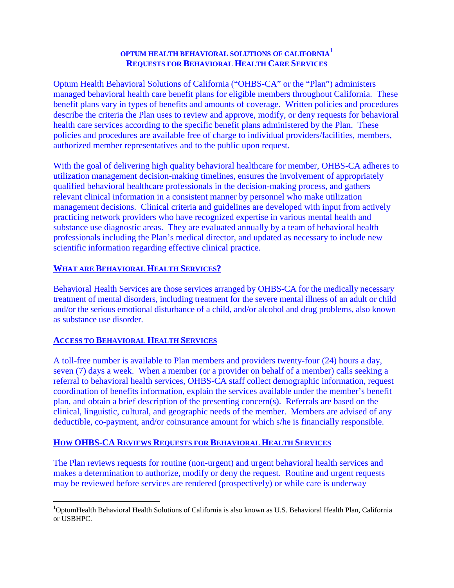# **OPTUM HEALTH BEHAVIORAL SOLUTIONS OF CALIFORNIA[1](#page-0-0) REQUESTS FOR BEHAVIORAL HEALTH CARE SERVICES**

Optum Health Behavioral Solutions of California ("OHBS-CA" or the "Plan") administers managed behavioral health care benefit plans for eligible members throughout California. These benefit plans vary in types of benefits and amounts of coverage. Written policies and procedures describe the criteria the Plan uses to review and approve, modify, or deny requests for behavioral health care services according to the specific benefit plans administered by the Plan. These policies and procedures are available free of charge to individual providers/facilities, members, authorized member representatives and to the public upon request.

With the goal of delivering high quality behavioral healthcare for member, OHBS-CA adheres to utilization management decision-making timelines, ensures the involvement of appropriately qualified behavioral healthcare professionals in the decision-making process, and gathers relevant clinical information in a consistent manner by personnel who make utilization management decisions. Clinical criteria and guidelines are developed with input from actively practicing network providers who have recognized expertise in various mental health and substance use diagnostic areas. They are evaluated annually by a team of behavioral health professionals including the Plan's medical director, and updated as necessary to include new scientific information regarding effective clinical practice.

# **WHAT ARE BEHAVIORAL HEALTH SERVICES?**

Behavioral Health Services are those services arranged by OHBS-CA for the medically necessary treatment of mental disorders, including treatment for the severe mental illness of an adult or child and/or the serious emotional disturbance of a child, and/or alcohol and drug problems, also known as substance use disorder.

## **ACCESS TO BEHAVIORAL HEALTH SERVICES**

A toll-free number is available to Plan members and providers twenty-four (24) hours a day, seven (7) days a week. When a member (or a provider on behalf of a member) calls seeking a referral to behavioral health services, OHBS-CA staff collect demographic information, request coordination of benefits information, explain the services available under the member's benefit plan, and obtain a brief description of the presenting concern(s). Referrals are based on the clinical, linguistic, cultural, and geographic needs of the member. Members are advised of any deductible, co-payment, and/or coinsurance amount for which s/he is financially responsible.

# **HOW OHBS-CA REVIEWS REQUESTS FOR BEHAVIORAL HEALTH SERVICES**

The Plan reviews requests for routine (non-urgent) and urgent behavioral health services and makes a determination to authorize, modify or deny the request. Routine and urgent requests may be reviewed before services are rendered (prospectively) or while care is underway

<span id="page-0-0"></span> $\frac{1}{1}$ <sup>1</sup>OptumHealth Behavioral Health Solutions of California is also known as U.S. Behavioral Health Plan, California or USBHPC.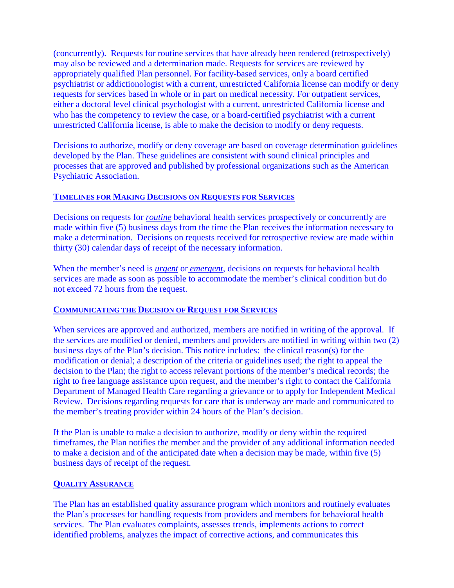(concurrently). Requests for routine services that have already been rendered (retrospectively) may also be reviewed and a determination made. Requests for services are reviewed by appropriately qualified Plan personnel. For facility-based services, only a board certified psychiatrist or addictionologist with a current, unrestricted California license can modify or deny requests for services based in whole or in part on medical necessity. For outpatient services, either a doctoral level clinical psychologist with a current, unrestricted California license and who has the competency to review the case, or a board-certified psychiatrist with a current unrestricted California license, is able to make the decision to modify or deny requests.

Decisions to authorize, modify or deny coverage are based on coverage determination guidelines developed by the Plan. These guidelines are consistent with sound clinical principles and processes that are approved and published by professional organizations such as the American Psychiatric Association.

#### **TIMELINES FOR MAKING DECISIONS ON REQUESTS FOR SERVICES**

Decisions on requests for *routine* behavioral health services prospectively or concurrently are made within five (5) business days from the time the Plan receives the information necessary to make a determination. Decisions on requests received for retrospective review are made within thirty (30) calendar days of receipt of the necessary information.

When the member's need is *urgent* or *emergent*, decisions on requests for behavioral health services are made as soon as possible to accommodate the member's clinical condition but do not exceed 72 hours from the request.

#### **COMMUNICATING THE DECISION OF REQUEST FOR SERVICES**

When services are approved and authorized, members are notified in writing of the approval. If the services are modified or denied, members and providers are notified in writing within two (2) business days of the Plan's decision. This notice includes: the clinical reason(s) for the modification or denial; a description of the criteria or guidelines used; the right to appeal the decision to the Plan; the right to access relevant portions of the member's medical records; the right to free language assistance upon request, and the member's right to contact the California Department of Managed Health Care regarding a grievance or to apply for Independent Medical Review. Decisions regarding requests for care that is underway are made and communicated to the member's treating provider within 24 hours of the Plan's decision.

If the Plan is unable to make a decision to authorize, modify or deny within the required timeframes, the Plan notifies the member and the provider of any additional information needed to make a decision and of the anticipated date when a decision may be made, within five (5) business days of receipt of the request.

#### **QUALITY ASSURANCE**

The Plan has an established quality assurance program which monitors and routinely evaluates the Plan's processes for handling requests from providers and members for behavioral health services. The Plan evaluates complaints, assesses trends, implements actions to correct identified problems, analyzes the impact of corrective actions, and communicates this